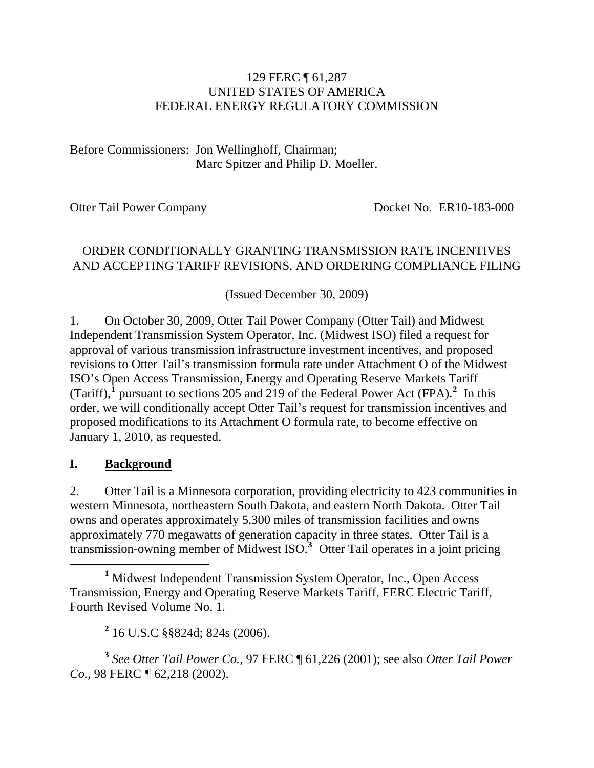#### 129 FERC ¶ 61,287 UNITED STATES OF AMERICA FEDERAL ENERGY REGULATORY COMMISSION

Before Commissioners: Jon Wellinghoff, Chairman; Marc Spitzer and Philip D. Moeller.

Otter Tail Power Company Docket No. ER10-183-000

#### ORDER CONDITIONALLY GRANTING TRANSMISSION RATE INCENTIVES AND ACCEPTING TARIFF REVISIONS, AND ORDERING COMPLIANCE FILING

(Issued December 30, 2009)

1. On October 30, 2009, Otter Tail Power Company (Otter Tail) and Midwest Independent Transmission System Operator, Inc. (Midwest ISO) filed a request for approval of various transmission infrastructure investment incentives, and proposed revisions to Otter Tail's transmission formula rate under Attachment O of the Midwest ISO's Open Access Transmission, Energy and Operating Reserve Markets Tariff (Tariff), $\frac{1}{2}$  $\frac{1}{2}$  $\frac{1}{2}$  $\frac{1}{2}$  $\frac{1}{2}$  pursuant to sections 205 and 219 of the Federal Power Act (FPA).<sup>2</sup> In this order, we will conditionally accept Otter Tail's request for transmission incentives and proposed modifications to its Attachment O formula rate, to become effective on January 1, 2010, as requested.

#### **I. Background**

2. Otter Tail is a Minnesota corporation, providing electricity to 423 communities in western Minnesota, northeastern South Dakota, and eastern North Dakota. Otter Tail owns and operates approximately 5,300 miles of transmission facilities and owns approximately 770 megawatts of generation capacity in three states. Otter Tail is a transmission-owning member of Midwest ISO.**[3](#page-0-2)** Otter Tail operates in a joint pricing

<span id="page-0-0"></span><u>1</u> <sup>1</sup> Midwest Independent Transmission System Operator, Inc., Open Access Transmission, Energy and Operating Reserve Markets Tariff, FERC Electric Tariff, Fourth Revised Volume No. 1.

**2** 16 U.S.C §§824d; 824s (2006).

<span id="page-0-2"></span><span id="page-0-1"></span>**<sup>3</sup>** *See Otter Tail Power Co.,* 97 FERC ¶ 61,226 (2001); see also *Otter Tail Power Co.,* 98 FERC *¶* 62,218 (2002).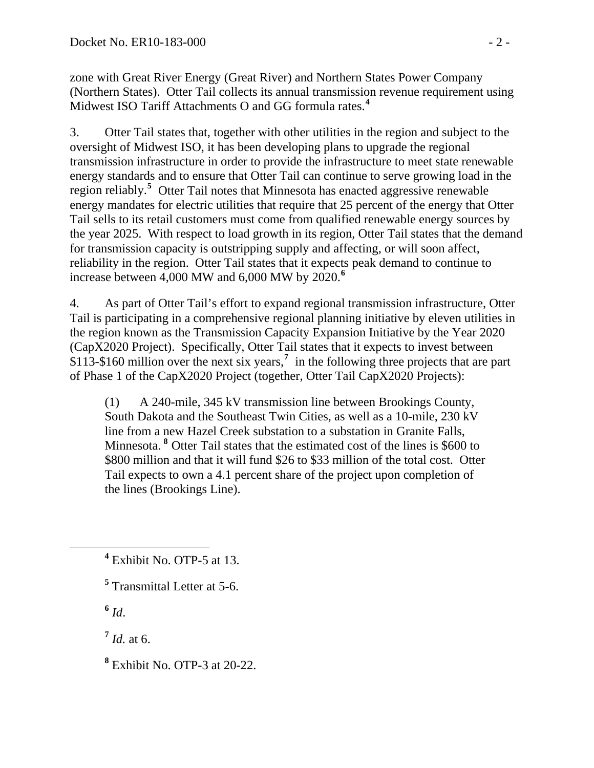zone with Great River Energy (Great River) and Northern States Power Company (Northern States). Otter Tail collects its annual transmission revenue requirement using Midwest ISO Tariff Attachments O and GG formula rates.**<sup>4</sup>**

3. Otter Tail states that, together with other utilities in the region and subject to the oversight of Midwest ISO, it has been developing plans to upgrade the regional transmission infrastructure in order to provide the infrastructure to meet state renewable energy standards and to ensure that Otter Tail can continue to serve growing load in the region reliably.**[5](#page-1-0)** Otter Tail notes that Minnesota has enacted aggressive renewable energy mandates for electric utilities that require that 25 percent of the energy that Otter Tail sells to its retail customers must come from qualified renewable energy sources by the year 2025. With respect to load growth in its region, Otter Tail states that the demand for transmission capacity is outstripping supply and affecting, or will soon affect, reliability in the region. Otter Tail states that it expects peak demand to continue to increase between 4,000 MW and 6,000 MW by 2020.**[6](#page-1-1)**

4. As part of Otter Tail's effort to expand regional transmission infrastructure, Otter Tail is participating in a comprehensive regional planning initiative by eleven utilities in the region known as the Transmission Capacity Expansion Initiative by the Year 2020 (CapX2020 Project). Specifically, Otter Tail states that it expects to invest between \$113-\$160 million over the next six years,**[7](#page-1-2)** in the following three projects that are part of Phase 1 of the CapX2020 Project (together, Otter Tail CapX2020 Projects):

(1) A 240-mile, 345 kV transmission line between Brookings County, South Dakota and the Southeast Twin Cities, as well as a 10-mile, 230 kV line from a new Hazel Creek substation to a substation in Granite Falls, Minnesota. **[8](#page-1-3)** Otter Tail states that the estimated cost of the lines is \$600 to \$800 million and that it will fund \$26 to \$33 million of the total cost. Otter Tail expects to own a 4.1 percent share of the project upon completion of the lines (Brookings Line).

 $6$   $Id$ .

<span id="page-1-1"></span><span id="page-1-0"></span> $\overline{a}$ 

<span id="page-1-2"></span> $^7$  *Id.* at 6.

<span id="page-1-3"></span>**8** Exhibit No. OTP-3 at 20-22.

**<sup>4</sup>** Exhibit No. OTP-5 at 13.

**<sup>5</sup>** Transmittal Letter at 5-6.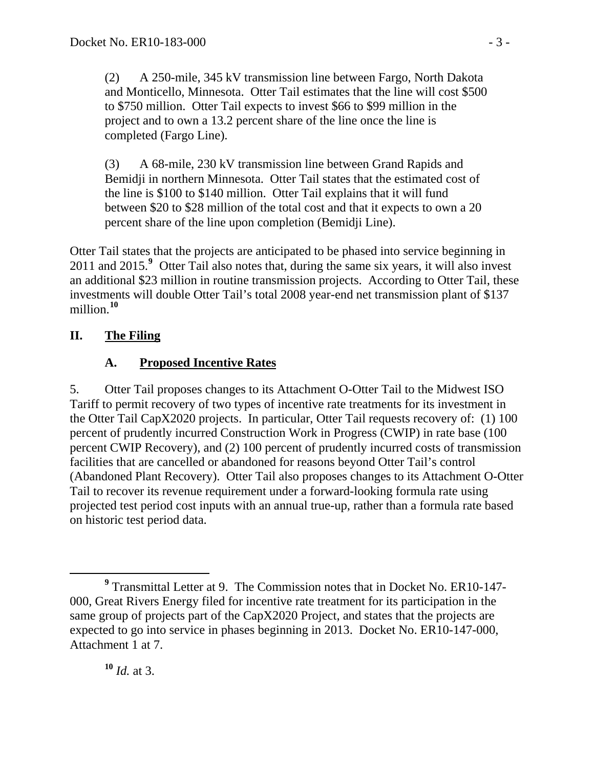(2) A 250-mile, 345 kV transmission line between Fargo, North Dakota and Monticello, Minnesota. Otter Tail estimates that the line will cost \$500 to \$750 million. Otter Tail expects to invest \$66 to \$99 million in the project and to own a 13.2 percent share of the line once the line is completed (Fargo Line).

(3) A 68-mile, 230 kV transmission line between Grand Rapids and Bemidji in northern Minnesota. Otter Tail states that the estimated cost of the line is \$100 to \$140 million. Otter Tail explains that it will fund between \$20 to \$28 million of the total cost and that it expects to own a 20 percent share of the line upon completion (Bemidji Line).

Otter Tail states that the projects are anticipated to be phased into service beginning in 2011 and 2015.**[9](#page-2-0)** Otter Tail also notes that, during the same six years, it will also invest an additional \$23 million in routine transmission projects. According to Otter Tail, these investments will double Otter Tail's total 2008 year-end net transmission plant of \$137 million.**[10](#page-2-1)**

### **II. The Filing**

## **A. Proposed Incentive Rates**

5. Otter Tail proposes changes to its Attachment O-Otter Tail to the Midwest ISO Tariff to permit recovery of two types of incentive rate treatments for its investment in the Otter Tail CapX2020 projects. In particular, Otter Tail requests recovery of: (1) 100 percent of prudently incurred Construction Work in Progress (CWIP) in rate base (100 percent CWIP Recovery), and (2) 100 percent of prudently incurred costs of transmission facilities that are cancelled or abandoned for reasons beyond Otter Tail's control (Abandoned Plant Recovery). Otter Tail also proposes changes to its Attachment O-Otter Tail to recover its revenue requirement under a forward-looking formula rate using projected test period cost inputs with an annual true-up, rather than a formula rate based on historic test period data.

<span id="page-2-1"></span>**<sup>10</sup>** *Id.* at 3.

<span id="page-2-0"></span>**<sup>9</sup>** Transmittal Letter at 9. The Commission notes that in Docket No. ER10-147- 000, Great Rivers Energy filed for incentive rate treatment for its participation in the same group of projects part of the CapX2020 Project, and states that the projects are expected to go into service in phases beginning in 2013. Docket No. ER10-147-000, Attachment 1 at 7.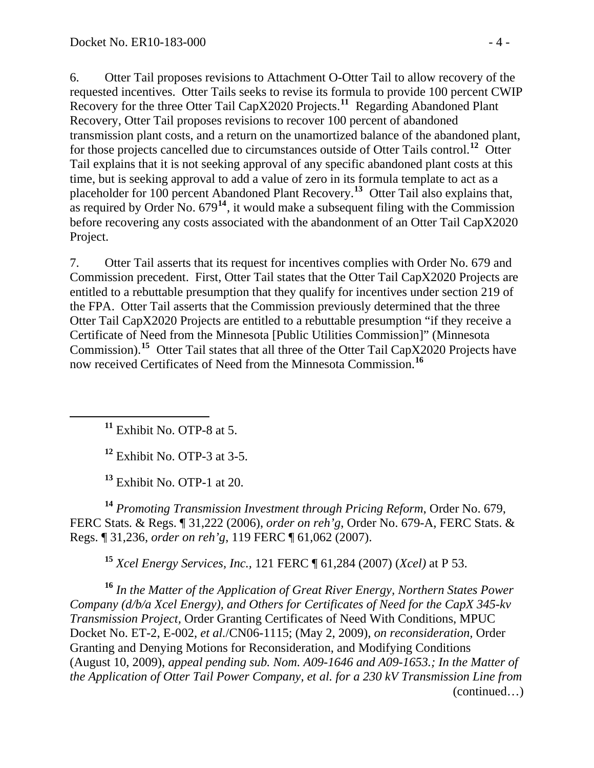6. Otter Tail proposes revisions to Attachment O-Otter Tail to allow recovery of the requested incentives. Otter Tails seeks to revise its formula to provide 100 percent CWIP Recovery for the three Otter Tail CapX2020 Projects.<sup>[11](#page-3-0)</sup> Regarding Abandoned Plant Recovery, Otter Tail proposes revisions to recover 100 percent of abandoned transmission plant costs, and a return on the unamortized balance of the abandoned plant, for those projects cancelled due to circumstances outside of Otter Tails control.**[12](#page-3-1)** Otter Tail explains that it is not seeking approval of any specific abandoned plant costs at this time, but is seeking approval to add a value of zero in its formula template to act as a placeholder for 100 percent Abandoned Plant Recovery.**[13](#page-3-2)** Otter Tail also explains that, as required by Order No.  $679<sup>14</sup>$  $679<sup>14</sup>$  $679<sup>14</sup>$ , it would make a subsequent filing with the Commission before recovering any costs associated with the abandonment of an Otter Tail CapX2020 Project.

7. Otter Tail asserts that its request for incentives complies with Order No. 679 and Commission precedent. First, Otter Tail states that the Otter Tail CapX2020 Projects are entitled to a rebuttable presumption that they qualify for incentives under section 219 of the FPA. Otter Tail asserts that the Commission previously determined that the three Otter Tail CapX2020 Projects are entitled to a rebuttable presumption "if they receive a Certificate of Need from the Minnesota [Public Utilities Commission]" (Minnesota Commission).**[15](#page-3-4)** Otter Tail states that all three of the Otter Tail CapX2020 Projects have now received Certificates of Need from the Minnesota Commission.**[16](#page-3-5)**

**<sup>11</sup>** Exhibit No. OTP-8 at 5.

<span id="page-3-1"></span><span id="page-3-0"></span>

**<sup>12</sup>** Exhibit No. OTP-3 at 3-5.

**<sup>13</sup>** Exhibit No. OTP-1 at 20.

<span id="page-3-3"></span><span id="page-3-2"></span>**<sup>14</sup>** *Promoting Transmission Investment through Pricing Reform*, Order No. 679, FERC Stats. & Regs. ¶ 31,222 (2006), *order on reh'g*, Order No. 679-A, FERC Stats. & Regs. ¶ 31,236, *order on reh'g*, 119 FERC ¶ 61,062 (2007).

**<sup>15</sup>** *Xcel Energy Services, Inc.,* 121 FERC ¶ 61,284 (2007) (*Xcel)* at P 53.

<span id="page-3-5"></span><span id="page-3-4"></span>(continued…) **<sup>16</sup>** *In the Matter of the Application of Great River Energy, Northern States Power Company (d/b/a Xcel Energy), and Others for Certificates of Need for the CapX 345-kv Transmission Project,* Order Granting Certificates of Need With Conditions, MPUC Docket No. ET-2, E-002, *et al.*/CN06-1115; (May 2, 2009), *on reconsideration,* Order Granting and Denying Motions for Reconsideration, and Modifying Conditions (August 10, 2009), *appeal pending sub. Nom. A09-1646 and A09-1653.; In the Matter of the Application of Otter Tail Power Company, et al. for a 230 kV Transmission Line from*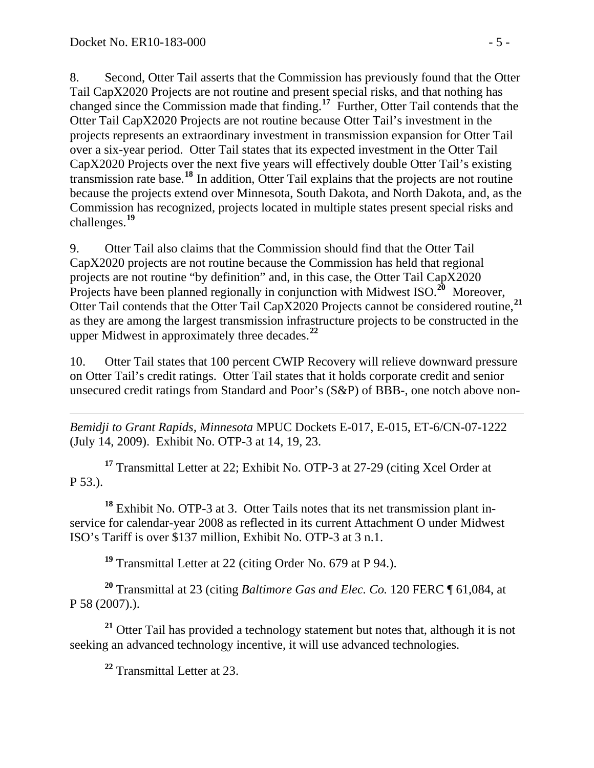8. Second, Otter Tail asserts that the Commission has previously found that the Otter Tail CapX2020 Projects are not routine and present special risks, and that nothing has changed since the Commission made that finding.**[17](#page-4-0)** Further, Otter Tail contends that the Otter Tail CapX2020 Projects are not routine because Otter Tail's investment in the projects represents an extraordinary investment in transmission expansion for Otter Tail over a six-year period. Otter Tail states that its expected investment in the Otter Tail CapX2020 Projects over the next five years will effectively double Otter Tail's existing transmission rate base.**[18](#page-4-1)** In addition, Otter Tail explains that the projects are not routine because the projects extend over Minnesota, South Dakota, and North Dakota, and, as the Commission has recognized, projects located in multiple states present special risks and challenges.**[19](#page-4-2)**

9. Otter Tail also claims that the Commission should find that the Otter Tail CapX2020 projects are not routine because the Commission has held that regional projects are not routine "by definition" and, in this case, the Otter Tail CapX2020 Projects have been planned regionally in conjunction with Midwest ISO.<sup>[20](#page-4-3)</sup> Moreover, Otter Tail contends that the Otter Tail CapX2020 Projects cannot be considered routine,**[21](#page-4-4)** as they are among the largest transmission infrastructure projects to be constructed in the upper Midwest in approximately three decades.**[22](#page-4-5)**

10. Otter Tail states that 100 percent CWIP Recovery will relieve downward pressure on Otter Tail's credit ratings. Otter Tail states that it holds corporate credit and senior unsecured credit ratings from Standard and Poor's (S&P) of BBB-, one notch above non-

 $\overline{a}$ *Bemidji to Grant Rapids, Minnesota* MPUC Dockets E-017, E-015, ET-6/CN-07-1222 (July 14, 2009). Exhibit No. OTP-3 at 14, 19, 23.

<span id="page-4-0"></span>**<sup>17</sup>** Transmittal Letter at 22; Exhibit No. OTP-3 at 27-29 (citing Xcel Order at P 53.).

<span id="page-4-1"></span>**<sup>18</sup>** Exhibit No. OTP-3 at 3. Otter Tails notes that its net transmission plant inservice for calendar-year 2008 as reflected in its current Attachment O under Midwest ISO's Tariff is over \$137 million, Exhibit No. OTP-3 at 3 n.1.

**<sup>19</sup>** Transmittal Letter at 22 (citing Order No. 679 at P 94.).

<span id="page-4-3"></span><span id="page-4-2"></span>**<sup>20</sup>** Transmittal at 23 (citing *Baltimore Gas and Elec. Co.* 120 FERC ¶ 61,084, at P 58 (2007).).

<span id="page-4-5"></span><span id="page-4-4"></span>**<sup>21</sup>** Otter Tail has provided a technology statement but notes that, although it is not seeking an advanced technology incentive, it will use advanced technologies.

**<sup>22</sup>** Transmittal Letter at 23.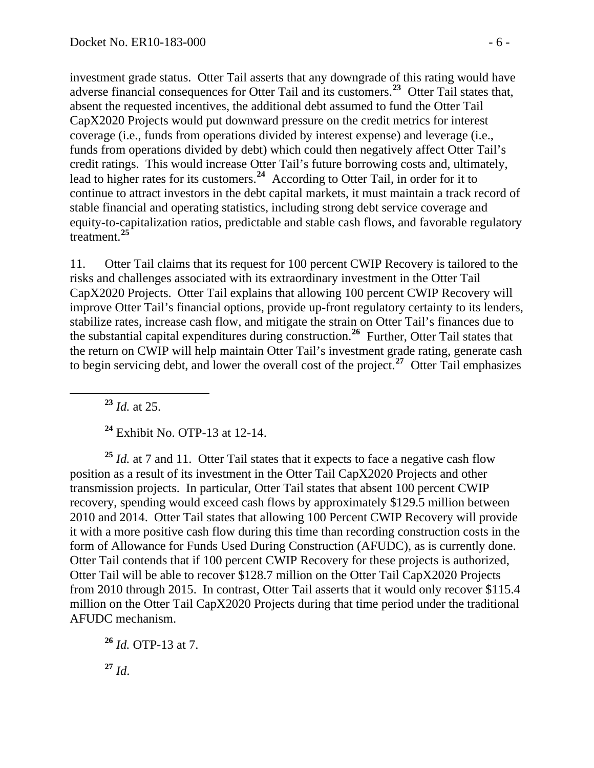investment grade status. Otter Tail asserts that any downgrade of this rating would have adverse financial consequences for Otter Tail and its customers.**<sup>23</sup>** Otter Tail states that, absent the requested incentives, the additional debt assumed to fund the Otter Tail CapX2020 Projects would put downward pressure on the credit metrics for interest coverage (i.e., funds from operations divided by interest expense) and leverage (i.e., funds from operations divided by debt) which could then negatively affect Otter Tail's credit ratings. This would increase Otter Tail's future borrowing costs and, ultimately, lead to higher rates for its customers.<sup>24</sup> According to Otter Tail, in order for it to continue to attract investors in the debt capital markets, it must maintain a track record o f stable financial and operating statistics, including strong debt service coverage and equity-to-capitalization ratios, predictable and stable cash flows, and favorable re gulatory treatment. **25**

11. Otter Tail claims that its request for 100 percent CWIP Recovery is tailored to the risks and challenges associated with its extraordinary investment in the Otter Tail CapX2020 Projects. Otter Tail explains that allowing 100 percent CWIP Recovery will improve Otter Tail's financial options, provide up-front regulatory certainty to its lenders, stabilize rates, increase cash flow, and mitigate the strain on Otter Tail's finances due to the substantial capital expenditures during construction.**[26](#page-5-0)** Further, Otter Tail states that the return on CWIP will help maintain Otter Tail's investment grade rating, generate cash to begin servicing debt, and lower the overall cost of the project.**[27](#page-5-1)** Otter Tail emphasizes

**<sup>23</sup>** *Id.* at 25.

**<sup>24</sup>** Exhibit No. OTP-13 at 12-14.

<sup>25</sup> *Id.* at 7 and 11. Otter Tail states that it expects to face a negative cash flow position as a result of its investment in the Otter Tail CapX2020 Projects and other transmission projects. In particular, Otter Tail states that absent 100 percent CWIP recovery, spending would exceed cash flows by approximately \$129.5 million between 2010 and 2014. Otter Tail states that allowing 100 Percent CWIP Recovery will provide it with a more positive cash flow during this time than recording construction costs in the form of Allowance for Funds Used During Construction (AFUDC), as is currently done. Otter Tail contends that if 100 percent CWIP Recovery for these projects is authorized, Otter Tail will be able to recover \$128.7 million on the Otter Tail CapX2020 Projects from 2010 through 2015. In contrast, Otter Tail asserts that it would only recover \$115.4 million on the Otter Tail CapX2020 Projects during that time period under the traditional AFUDC mechanism.

<span id="page-5-1"></span><span id="page-5-0"></span>**<sup>26</sup>** *Id.* OTP-13 at 7. **<sup>27</sup>** *Id*.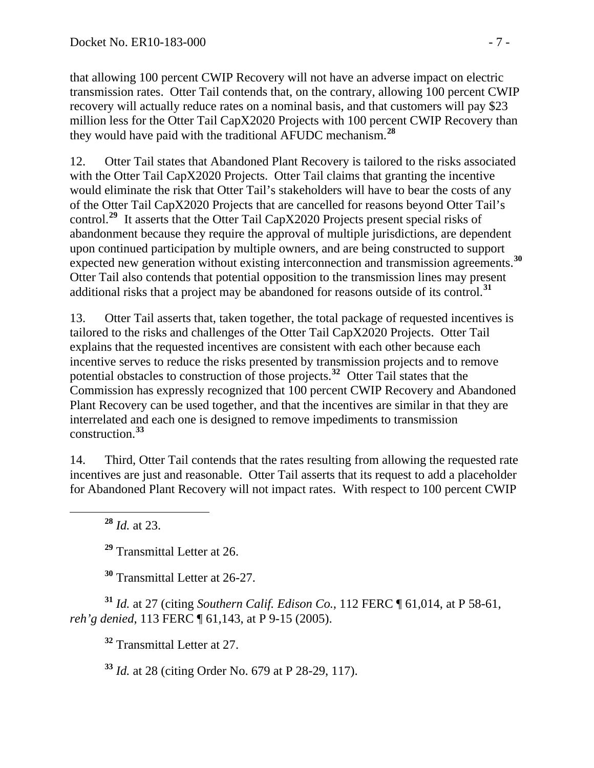that allowing 100 percent CWIP Recovery will not have an adverse impact on electric transmission rates. Otter Tail contends that, on the contrary, allowing 100 percent CWIP recovery will actually reduce rates on a nominal basis, and that customers will pay \$23 million less for the Otter Tail CapX2020 Projects with 100 percent CWIP Recovery than they would have paid with the traditional AFUDC mechanism.**<sup>28</sup>**

12. Otter Tail states that Abandoned Plant Recovery is tailored to the risks associated with the Otter Tail CapX2020 Projects. Otter Tail claims that granting the incentive would eliminate the risk that Otter Tail's stakeholders will have to bear the costs of any of the Otter Tail CapX2020 Projects that are cancelled for reasons beyond Otter Tail's control.**[29](#page-6-0)** It asserts that the Otter Tail CapX2020 Projects present special risks of abandonment because they require the approval of multiple jurisdictions, are dependent upon continued participation by multiple owners, and are being constructed to support expected new generation without existing interconnection and transmission agreements.**[30](#page-6-1)** Otter Tail also contends that potential opposition to the transmission lines may present additional risks that a project may be abandoned for reasons outside of its control.**[31](#page-6-2)**

13. Otter Tail asserts that, taken together, the total package of requested incentives is tailored to the risks and challenges of the Otter Tail CapX2020 Projects. Otter Tail explains that the requested incentives are consistent with each other because each incentive serves to reduce the risks presented by transmission projects and to remove potential obstacles to construction of those projects.**[32](#page-6-3)** Otter Tail states that the Commission has expressly recognized that 100 percent CWIP Recovery and Abandoned Plant Recovery can be used together, and that the incentives are similar in that they are interrelated and each one is designed to remove impediments to transmission construction.**[33](#page-6-4)**

14. Third, Otter Tail contends that the rates resulting from allowing the requested rate incentives are just and reasonable. Otter Tail asserts that its request to add a placeholder for Abandoned Plant Recovery will not impact rates. With respect to 100 percent CWIP

**<sup>28</sup>** *Id.* at 23.

**<sup>29</sup>** Transmittal Letter at 26.

**<sup>30</sup>** Transmittal Letter at 26-27.

<span id="page-6-4"></span><span id="page-6-3"></span><span id="page-6-2"></span><span id="page-6-1"></span><span id="page-6-0"></span>**<sup>31</sup>** *Id.* at 27 (citing *Southern Calif. Edison Co.*, 112 FERC ¶ 61,014, at P 58-61, *reh'g denied*, 113 FERC ¶ 61,143, at P 9-15 (2005).

**<sup>32</sup>** Transmittal Letter at 27.

**<sup>33</sup>** *Id.* at 28 (citing Order No. 679 at P 28-29, 117).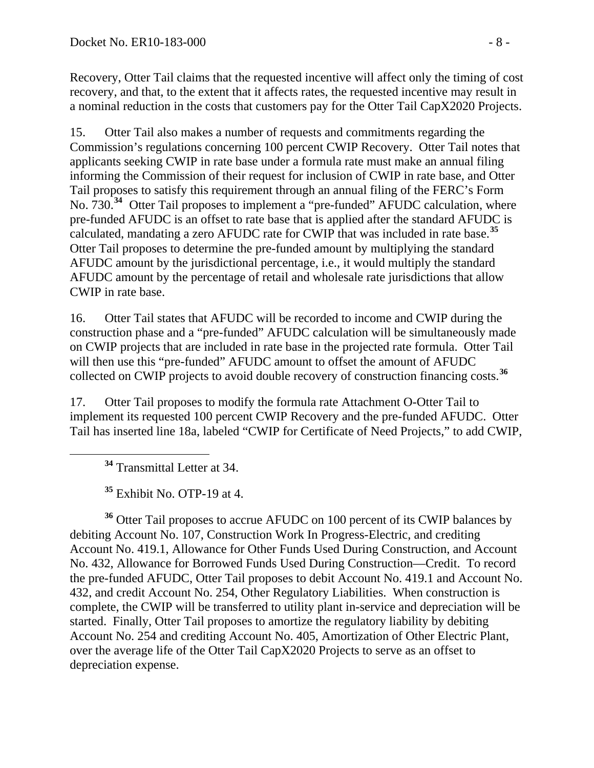Recovery, Otter Tail claims that the requested incentive will affect only the timing of cost recovery, and that, to the extent that it affects rates, the requested incentive may result in a nominal reduction in the costs that customers pay for the Otter Tail CapX2020 Projects.

15. Otter Tail also makes a number of requests and commitments regarding the Commission's regulations concerning 100 percent CWIP Recovery. Otter Tail notes that applicants seeking CWIP in rate base under a formula rate must make an annual filing informing the Commission of their request for inclusion of CWIP in rate base, and Otter Tail proposes to satisfy this requirement through an annual filing of the FERC's Form No. 730.**[34](#page-7-0)** Otter Tail proposes to implement a "pre-funded" AFUDC calculation, where pre-funded AFUDC is an offset to rate base that is applied after the standard AFUDC is calculated, mandating a zero AFUDC rate for CWIP that was included in rate base.**[35](#page-7-1)** Otter Tail proposes to determine the pre-funded amount by multiplying the standard AFUDC amount by the jurisdictional percentage, i.e., it would multiply the standard AFUDC amount by the percentage of retail and wholesale rate jurisdictions that allow CWIP in rate base.

16. Otter Tail states that AFUDC will be recorded to income and CWIP during the construction phase and a "pre-funded" AFUDC calculation will be simultaneously made on CWIP projects that are included in rate base in the projected rate formula. Otter Tail will then use this "pre-funded" AFUDC amount to offset the amount of AFUDC collected on CWIP projects to avoid double recovery of construction financing costs.**[36](#page-7-2)**

17. Otter Tail proposes to modify the formula rate Attachment O-Otter Tail to implement its requested 100 percent CWIP Recovery and the pre-funded AFUDC. Otter Tail has inserted line 18a, labeled "CWIP for Certificate of Need Projects," to add CWIP,

**<sup>34</sup>** Transmittal Letter at 34.

**<sup>35</sup>** Exhibit No. OTP-19 at 4.

<span id="page-7-2"></span><span id="page-7-1"></span><span id="page-7-0"></span>**<sup>36</sup>** Otter Tail proposes to accrue AFUDC on 100 percent of its CWIP balances by debiting Account No. 107, Construction Work In Progress-Electric, and crediting Account No. 419.1, Allowance for Other Funds Used During Construction, and Account No. 432, Allowance for Borrowed Funds Used During Construction—Credit. To record the pre-funded AFUDC, Otter Tail proposes to debit Account No. 419.1 and Account No. 432, and credit Account No. 254, Other Regulatory Liabilities. When construction is complete, the CWIP will be transferred to utility plant in-service and depreciation will be started. Finally, Otter Tail proposes to amortize the regulatory liability by debiting Account No. 254 and crediting Account No. 405, Amortization of Other Electric Plant, over the average life of the Otter Tail CapX2020 Projects to serve as an offset to depreciation expense.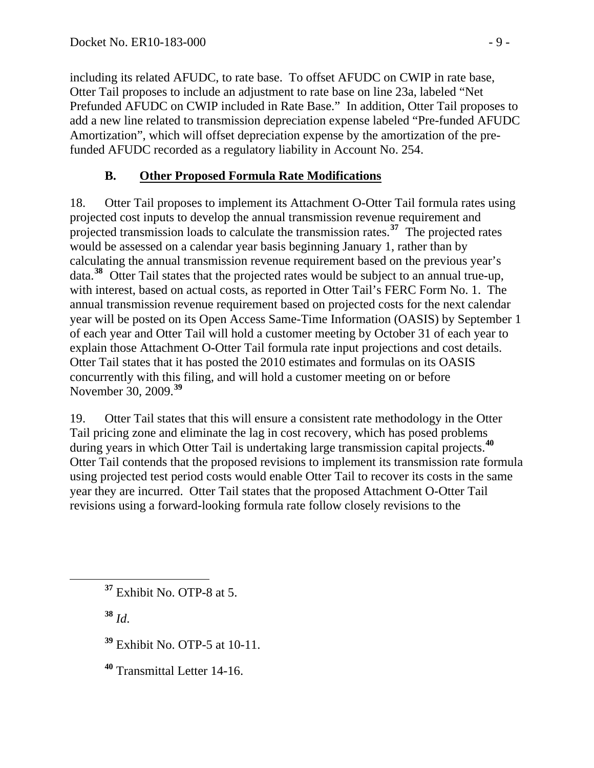including its related AFUDC, to rate base. To offset AFUDC on CWIP in rate base, Otter Tail proposes to include an adjustment to rate base on line 23a, labeled "Net Prefunded AFUDC on CWIP included in Rate Base." In addition, Otter Tail proposes to add a new line related to transmission depreciation expense labeled "Pre-funded AFUDC Amortization", which will offset depreciation expense by the amortization of the prefunded AFUDC recorded as a regulatory liability in Account No. 254.

## **B. Other Proposed Formula Rate Modifications**

18. Otter Tail proposes to implement its Attachment O-Otter Tail formula rates using projected cost inputs to develop the annual transmission revenue requirement and projected transmission loads to calculate the transmission rates.**[37](#page-8-0)** The projected rates would be assessed on a calendar year basis beginning January 1, rather than by calculating the annual transmission revenue requirement based on the previous year's data.**[38](#page-8-1)** Otter Tail states that the projected rates would be subject to an annual true-up, with interest, based on actual costs, as reported in Otter Tail's FERC Form No. 1. The annual transmission revenue requirement based on projected costs for the next calendar year will be posted on its Open Access Same-Time Information (OASIS) by September 1 of each year and Otter Tail will hold a customer meeting by October 31 of each year to explain those Attachment O-Otter Tail formula rate input projections and cost details. Otter Tail states that it has posted the 2010 estimates and formulas on its OASIS concurrently with this filing, and will hold a customer meeting on or before November 30, 2009.**[39](#page-8-2)**

19. Otter Tail states that this will ensure a consistent rate methodology in the Otter Tail pricing zone and eliminate the lag in cost recovery, which has posed problems during years in which Otter Tail is undertaking large transmission capital projects.**[40](#page-8-3)** Otter Tail contends that the proposed revisions to implement its transmission rate formula using projected test period costs would enable Otter Tail to recover its costs in the same year they are incurred. Otter Tail states that the proposed Attachment O-Otter Tail revisions using a forward-looking formula rate follow closely revisions to the

<span id="page-8-1"></span>**<sup>38</sup>** *Id*.

- <span id="page-8-2"></span>**<sup>39</sup>** Exhibit No. OTP-5 at 10-11.
- <span id="page-8-3"></span>**<sup>40</sup>** Transmittal Letter 14-16.

<span id="page-8-0"></span>**<sup>37</sup>** Exhibit No. OTP-8 at 5.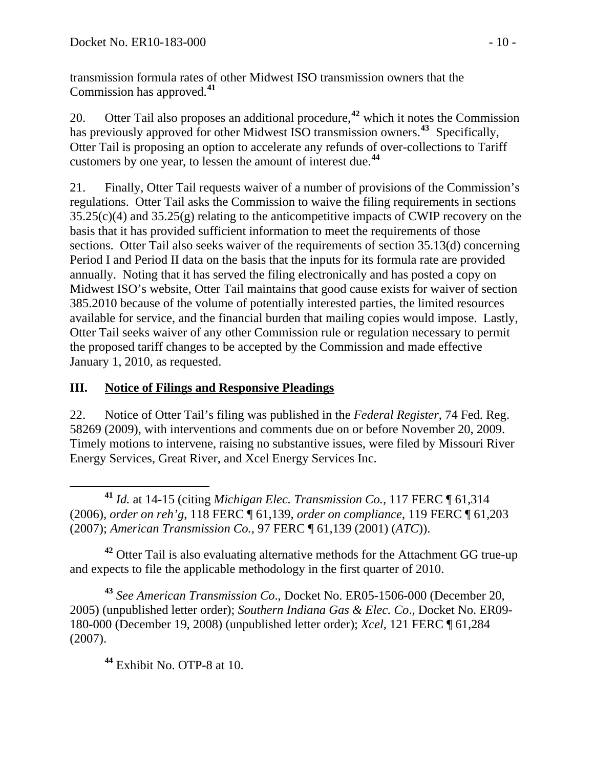transmission formula rates of other Midwest ISO transmission owners that the Commission has approved.**<sup>41</sup>**

20. Otter Tail also proposes an additional procedure,**[42](#page-9-0)** which it notes the Commission has previously approved for other Midwest ISO transmission owners.**[43](#page-9-1)** Specifically, Otter Tail is proposing an option to accelerate any refunds of over-collections to Tariff customers by one year, to lessen the amount of interest due.**[44](#page-9-2)**

21. Finally, Otter Tail requests waiver of a number of provisions of the Commission's regulations. Otter Tail asks the Commission to waive the filing requirements in sections  $35.25(c)(4)$  and  $35.25(g)$  relating to the anticompetitive impacts of CWIP recovery on the basis that it has provided sufficient information to meet the requirements of those sections. Otter Tail also seeks waiver of the requirements of section 35.13(d) concerning Period I and Period II data on the basis that the inputs for its formula rate are provided annually. Noting that it has served the filing electronically and has posted a copy on Midwest ISO's website, Otter Tail maintains that good cause exists for waiver of section 385.2010 because of the volume of potentially interested parties, the limited resources available for service, and the financial burden that mailing copies would impose. Lastly, Otter Tail seeks waiver of any other Commission rule or regulation necessary to permit the proposed tariff changes to be accepted by the Commission and made effective January 1, 2010, as requested.

## **III. Notice of Filings and Responsive Pleadings**

22. Notice of Otter Tail's filing was published in the *Federal Register*, 74 Fed. Reg. 58269 (2009), with interventions and comments due on or before November 20, 2009. Timely motions to intervene, raising no substantive issues, were filed by Missouri River Energy Services, Great River, and Xcel Energy Services Inc.

 **<sup>41</sup>** *Id.* at 14-15 (citing *Michigan Elec. Transmission Co.,* 117 FERC ¶ 61,314 (2006), *order on reh'g*, 118 FERC ¶ 61,139, *order on compliance*, 119 FERC ¶ 61,203 (2007); *American Transmission Co.,* 97 FERC ¶ 61,139 (2001) (*ATC*)).

<span id="page-9-0"></span>**<sup>42</sup>** Otter Tail is also evaluating alternative methods for the Attachment GG true-up and expects to file the applicable methodology in the first quarter of 2010.

<span id="page-9-2"></span><span id="page-9-1"></span>**<sup>43</sup>** *See American Transmission Co*., Docket No. ER05-1506-000 (December 20, 2005) (unpublished letter order); *Southern Indiana Gas & Elec. Co*., Docket No. ER09- 180-000 (December 19, 2008) (unpublished letter order); *Xcel,* 121 FERC ¶ 61,284 (2007).

**<sup>44</sup>** Exhibit No. OTP-8 at 10.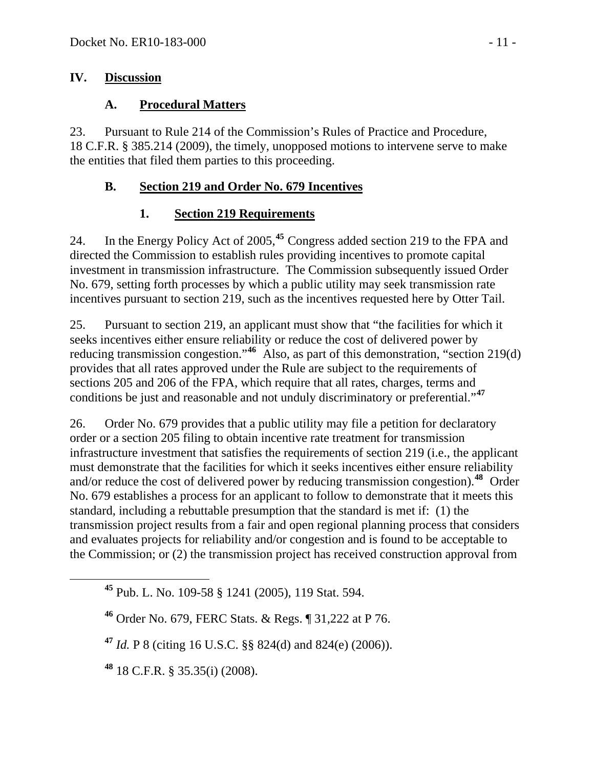### **IV. Discussion**

### **A. Procedural Matters**

23. Pursuant to Rule 214 of the Commission's Rules of Practice and Procedure, 18 C.F.R. § 385.214 (2009), the timely, unopposed motions to intervene serve to make the entities that filed them parties to this proceeding.

## **B. Section 219 and Order No. 679 Incentives**

# **1. Section 219 Requirements**

24. In the Energy Policy Act of 2005,**[45](#page-10-0)** Congress added section 219 to the FPA and directed the Commission to establish rules providing incentives to promote capital investment in transmission infrastructure. The Commission subsequently issued Order No. 679, setting forth processes by which a public utility may seek transmission rate incentives pursuant to section 219, such as the incentives requested here by Otter Tail.

25. Pursuant to section 219, an applicant must show that "the facilities for which it seeks incentives either ensure reliability or reduce the cost of delivered power by reducing transmission congestion."**[46](#page-10-1)** Also, as part of this demonstration, "section 219(d) provides that all rates approved under the Rule are subject to the requirements of sections 205 and 206 of the FPA, which require that all rates, charges, terms and conditions be just and reasonable and not unduly discriminatory or preferential."**[47](#page-10-2)**

26. Order No. 679 provides that a public utility may file a petition for declaratory order or a section 205 filing to obtain incentive rate treatment for transmission infrastructure investment that satisfies the requirements of section 219 (i.e., the applicant must demonstrate that the facilities for which it seeks incentives either ensure reliability and/or reduce the cost of delivered power by reducing transmission congestion).**[48](#page-10-3)** Order No. 679 establishes a process for an applicant to follow to demonstrate that it meets this standard, including a rebuttable presumption that the standard is met if: (1) the transmission project results from a fair and open regional planning process that considers and evaluates projects for reliability and/or congestion and is found to be acceptable to the Commission; or (2) the transmission project has received construction approval from

<span id="page-10-0"></span>**<sup>45</sup>** Pub. L. No. 109-58 § 1241 (2005), 119 Stat. 594.

<span id="page-10-1"></span>**<sup>46</sup>** Order No. 679, FERC Stats. & Regs. ¶ 31,222 at P 76.

<span id="page-10-2"></span>**<sup>47</sup>** *Id.* P 8 (citing 16 U.S.C. §§ 824(d) and 824(e) (2006)).

<span id="page-10-3"></span>**<sup>48</sup>** 18 C.F.R. § 35.35(i) (2008).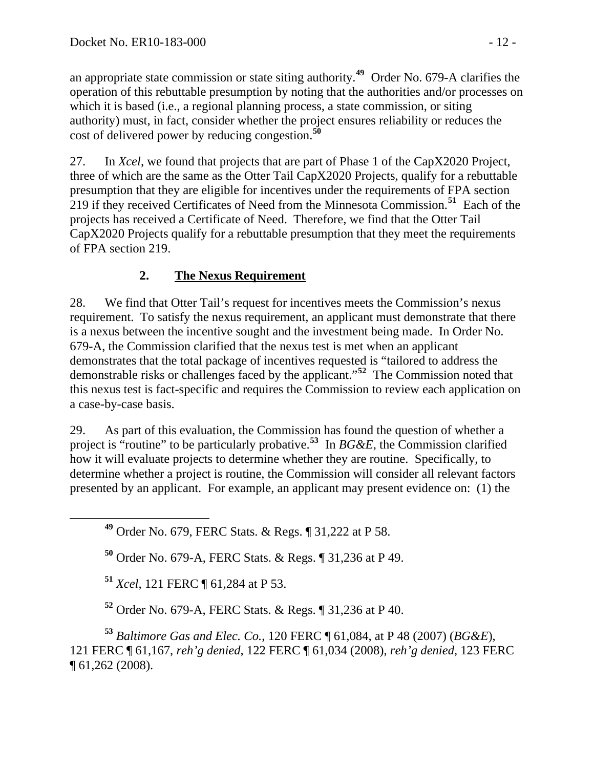an appropriate state commission or state siting authority.**<sup>49</sup>** Order No. 679-A clarifies the operation of this rebuttable presumption by noting that the authorities and/or processes on which it is based (i.e., a regional planning process, a state commission, or siting authority) must, in fact, consider whether the project ensures reliability or reduces the cost of delivered power by reducing congestion.**<sup>50</sup>**

27. In *Xcel*, we found that projects that are part of Phase 1 of the CapX2020 Project, three of which are the same as the Otter Tail CapX2020 Projects, qualify for a rebuttable presumption that they are eligible for incentives under the requirements of FPA section 219 if they received Certificates of Need from the Minnesota Commission.**[51](#page-11-0)** Each of the projects has received a Certificate of Need. Therefore, we find that the Otter Tail CapX2020 Projects qualify for a rebuttable presumption that they meet the requirements of FPA section 219.

# **2. The Nexus Requirement**

28. We find that Otter Tail's request for incentives meets the Commission's nexus requirement. To satisfy the nexus requirement, an applicant must demonstrate that there is a nexus between the incentive sought and the investment being made. In Order No. 679-A, the Commission clarified that the nexus test is met when an applicant demonstrates that the total package of incentives requested is "tailored to address the demonstrable risks or challenges faced by the applicant."**[52](#page-11-1)** The Commission noted that this nexus test is fact-specific and requires the Commission to review each application on a case-by-case basis.

29. As part of this evaluation, the Commission has found the question of whether a project is "routine" to be particularly probative.**[53](#page-11-2)** In *BG&E*, the Commission clarified how it will evaluate projects to determine whether they are routine. Specifically, to determine whether a project is routine, the Commission will consider all relevant factors presented by an applicant. For example, an applicant may present evidence on: (1) the

**<sup>49</sup>** Order No. 679, FERC Stats. & Regs. ¶ 31,222 at P 58.

**<sup>50</sup>** Order No. 679-A, FERC Stats. & Regs. ¶ 31,236 at P 49.

**<sup>51</sup>** *Xcel*, 121 FERC ¶ 61,284 at P 53.

**<sup>52</sup>** Order No. 679-A, FERC Stats. & Regs. ¶ 31,236 at P 40.

<span id="page-11-2"></span><span id="page-11-1"></span><span id="page-11-0"></span>**<sup>53</sup>** *Baltimore Gas and Elec. Co.*, 120 FERC ¶ 61,084, at P 48 (2007) (*BG&E*), 121 FERC ¶ 61,167, *reh'g denied*, 122 FERC ¶ 61,034 (2008), *reh'g denied*, 123 FERC ¶ 61,262 (2008).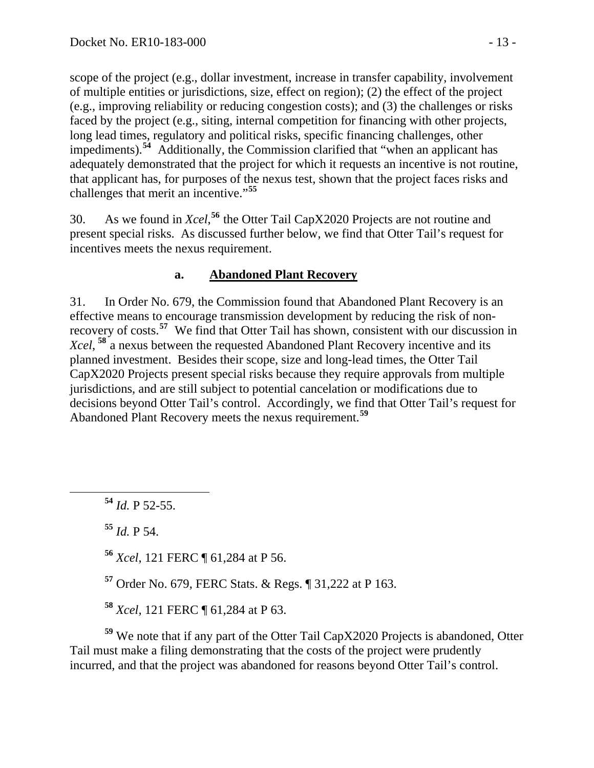scope of the project (e.g., dollar investment, increase in transfer capability, involvement of multiple entities or jurisdictions, size, effect on region); (2) the effect of the project (e.g., improving reliability or reducing congestion costs); and (3) the challenges or risks faced by the project (e.g., siting, internal competition for financing with other projects, long lead times, regulatory and political risks, specific financing challenges, other impediments).**<sup>54</sup>** Additionally, the Commission clarified that "when an applicant has adequately demonstrated that the project for which it requests an incentive is not routine, that applicant has, for purposes of the nexus test, shown that the project faces risks and challenges that merit an incentive."**<sup>55</sup>**

30. As we found in *Xcel*, **[56](#page-12-0)** the Otter Tail CapX2020 Projects are not routine and present special risks. As discussed further below, we find that Otter Tail's request for incentives meets the nexus requirement.

### **a. Abandoned Plant Recovery**

31. In Order No. 679, the Commission found that Abandoned Plant Recovery is an effective means to encourage transmission development by reducing the risk of nonrecovery of costs.**[57](#page-12-1)** We find that Otter Tail has shown, consistent with our discussion in Xcel, <sup>[58](#page-12-2)</sup> a nexus between the requested Abandoned Plant Recovery incentive and its planned investment. Besides their scope, size and long-lead times, the Otter Tail CapX2020 Projects present special risks because they require approvals from multiple jurisdictions, and are still subject to potential cancelation or modifications due to decisions beyond Otter Tail's control. Accordingly, we find that Otter Tail's request for Abandoned Plant Recovery meets the nexus requirement.**[59](#page-12-3)**

**<sup>54</sup>** *Id.* P 52-55.

**<sup>55</sup>** *Id.* P 54.

<span id="page-12-0"></span>**<sup>56</sup>** *Xcel*, 121 FERC ¶ 61,284 at P 56.

**<sup>57</sup>** Order No. 679, FERC Stats. & Regs. ¶ 31,222 at P 163.

**<sup>58</sup>** *Xcel,* 121 FERC ¶ 61,284 at P 63.

<span id="page-12-3"></span><span id="page-12-2"></span><span id="page-12-1"></span>**<sup>59</sup>** We note that if any part of the Otter Tail CapX2020 Projects is abandoned, Otter Tail must make a filing demonstrating that the costs of the project were prudently incurred, and that the project was abandoned for reasons beyond Otter Tail's control.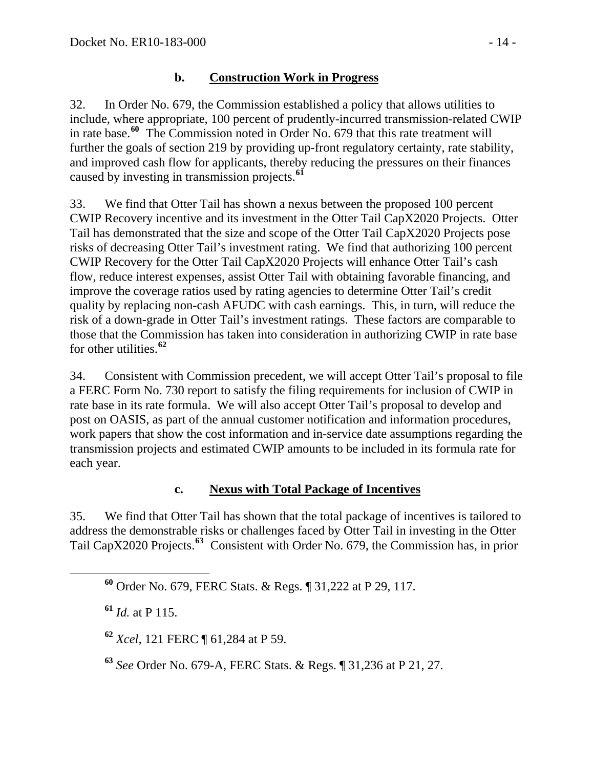### **b. Construction Work in Progress**

32. In Order No. 679, the Commission established a policy that allows utilities to include, where appropriate, 100 percent of prudently-incurred transmission-related CWIP in rate base.**[60](#page-13-0)** The Commission noted in Order No. 679 that this rate treatment will further the goals of section 219 by providing up-front regulatory certainty, rate stability, and improved cash flow for applicants, thereby reducing the pressures on their finances caused by investing in transmission projects.**[61](#page-13-1)**

33. We find that Otter Tail has shown a nexus between the proposed 100 percent CWIP Recovery incentive and its investment in the Otter Tail CapX2020 Projects. Otter Tail has demonstrated that the size and scope of the Otter Tail CapX2020 Projects pose risks of decreasing Otter Tail's investment rating. We find that authorizing 100 percent CWIP Recovery for the Otter Tail CapX2020 Projects will enhance Otter Tail's cash flow, reduce interest expenses, assist Otter Tail with obtaining favorable financing, and improve the coverage ratios used by rating agencies to determine Otter Tail's credit quality by replacing non-cash AFUDC with cash earnings. This, in turn, will reduce the risk of a down-grade in Otter Tail's investment ratings. These factors are comparable to those that the Commission has taken into consideration in authorizing CWIP in rate base for other utilities.**[62](#page-13-2)**

34. Consistent with Commission precedent, we will accept Otter Tail's proposal to file a FERC Form No. 730 report to satisfy the filing requirements for inclusion of CWIP in rate base in its rate formula. We will also accept Otter Tail's proposal to develop and post on OASIS, as part of the annual customer notification and information procedures, work papers that show the cost information and in-service date assumptions regarding the transmission projects and estimated CWIP amounts to be included in its formula rate for each year.

### **c. Nexus with Total Package of Incentives**

<span id="page-13-0"></span>35. We find that Otter Tail has shown that the total package of incentives is tailored to address the demonstrable risks or challenges faced by Otter Tail in investing in the Otter Tail CapX2020 Projects.**[63](#page-13-3)** Consistent with Order No. 679, the Commission has, in prior

<span id="page-13-1"></span>**<sup>61</sup>** *Id.* at P 115.

<span id="page-13-2"></span>**<sup>62</sup>** *Xcel,* 121 FERC ¶ 61,284 at P 59.

<span id="page-13-3"></span>**<sup>63</sup>** *See* Order No. 679-A, FERC Stats. & Regs. ¶ 31,236 at P 21, 27.

**<sup>60</sup>** Order No. 679, FERC Stats. & Regs. ¶ 31,222 at P 29, 117.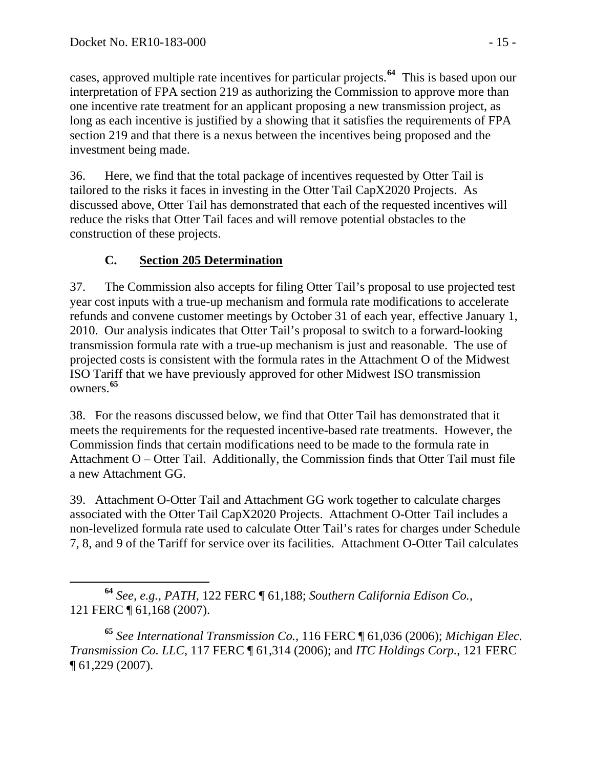cases, approved multiple rate incentives for particular projects.**<sup>64</sup>** This is based upon our interpretation of FPA section 219 as authorizing the Commission to approve more than one incentive rate treatment for an applicant proposing a new transmission project, as long as each incentive is justified by a showing that it satisfies the requirements of FPA section 219 and that there is a nexus between the incentives being proposed and the investment being made.

36. Here, we find that the total package of incentives requested by Otter Tail is tailored to the risks it faces in investing in the Otter Tail CapX2020 Projects. As discussed above, Otter Tail has demonstrated that each of the requested incentives will reduce the risks that Otter Tail faces and will remove potential obstacles to the construction of these projects.

## **C. Section 205 Determination**

37. The Commission also accepts for filing Otter Tail's proposal to use projected test year cost inputs with a true-up mechanism and formula rate modifications to accelerate refunds and convene customer meetings by October 31 of each year, effective January 1, 2010. Our analysis indicates that Otter Tail's proposal to switch to a forward-looking transmission formula rate with a true-up mechanism is just and reasonable. The use of projected costs is consistent with the formula rates in the Attachment O of the Midwest ISO Tariff that we have previously approved for other Midwest ISO transmission owners.**[65](#page-14-0)**

38. For the reasons discussed below, we find that Otter Tail has demonstrated that it meets the requirements for the requested incentive-based rate treatments. However, the Commission finds that certain modifications need to be made to the formula rate in Attachment O – Otter Tail. Additionally, the Commission finds that Otter Tail must file a new Attachment GG.

39. Attachment O-Otter Tail and Attachment GG work together to calculate charges associated with the Otter Tail CapX2020 Projects. Attachment O-Otter Tail includes a non-levelized formula rate used to calculate Otter Tail's rates for charges under Schedule 7, 8, and 9 of the Tariff for service over its facilities. Attachment O-Otter Tail calculates

**<sup>64</sup>** *See, e.g.*, *PATH*, 122 FERC ¶ 61,188; *Southern California Edison Co.*, 121 FERC ¶ 61,168 (2007).

<span id="page-14-0"></span>**<sup>65</sup>** *See International Transmission Co.*, 116 FERC ¶ 61,036 (2006); *Michigan Elec. Transmission Co. LLC*, 117 FERC ¶ 61,314 (2006); and *ITC Holdings Corp.*, 121 FERC ¶ 61,229 (2007).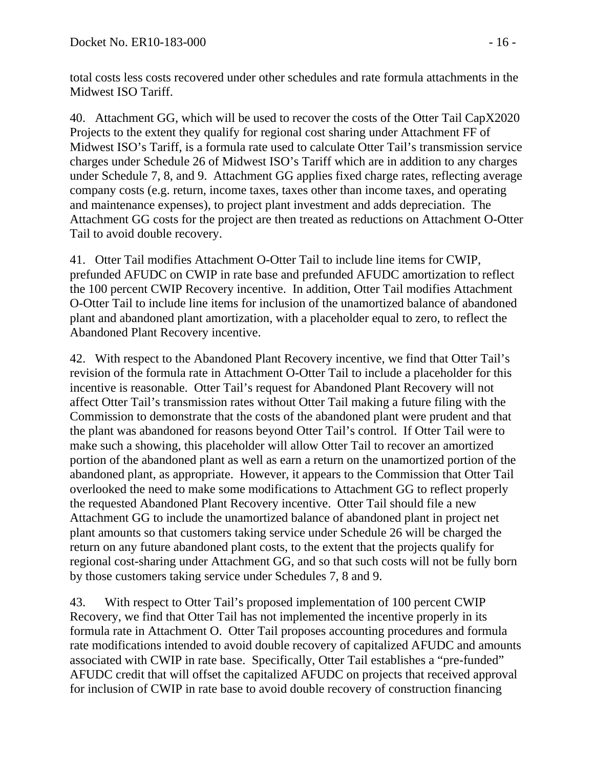total costs less costs recovered under other schedules and rate formula attachments in the Midwest ISO Tariff.

40. Attachment GG, which will be used to recover the costs of the Otter Tail CapX2020 Projects to the extent they qualify for regional cost sharing under Attachment FF of Midwest ISO's Tariff, is a formula rate used to calculate Otter Tail's transmission service charges under Schedule 26 of Midwest ISO's Tariff which are in addition to any charges under Schedule 7, 8, and 9. Attachment GG applies fixed charge rates, reflecting average company costs (e.g. return, income taxes, taxes other than income taxes, and operating and maintenance expenses), to project plant investment and adds depreciation. The Attachment GG costs for the project are then treated as reductions on Attachment O-Otter Tail to avoid double recovery.

41. Otter Tail modifies Attachment O-Otter Tail to include line items for CWIP, prefunded AFUDC on CWIP in rate base and prefunded AFUDC amortization to reflect the 100 percent CWIP Recovery incentive. In addition, Otter Tail modifies Attachment O-Otter Tail to include line items for inclusion of the unamortized balance of abandoned plant and abandoned plant amortization, with a placeholder equal to zero, to reflect the Abandoned Plant Recovery incentive.

42. With respect to the Abandoned Plant Recovery incentive, we find that Otter Tail's revision of the formula rate in Attachment O-Otter Tail to include a placeholder for this incentive is reasonable. Otter Tail's request for Abandoned Plant Recovery will not affect Otter Tail's transmission rates without Otter Tail making a future filing with the Commission to demonstrate that the costs of the abandoned plant were prudent and that the plant was abandoned for reasons beyond Otter Tail's control. If Otter Tail were to make such a showing, this placeholder will allow Otter Tail to recover an amortized portion of the abandoned plant as well as earn a return on the unamortized portion of the abandoned plant, as appropriate. However, it appears to the Commission that Otter Tail overlooked the need to make some modifications to Attachment GG to reflect properly the requested Abandoned Plant Recovery incentive. Otter Tail should file a new Attachment GG to include the unamortized balance of abandoned plant in project net plant amounts so that customers taking service under Schedule 26 will be charged the return on any future abandoned plant costs, to the extent that the projects qualify for regional cost-sharing under Attachment GG, and so that such costs will not be fully born by those customers taking service under Schedules 7, 8 and 9.

43. With respect to Otter Tail's proposed implementation of 100 percent CWIP Recovery, we find that Otter Tail has not implemented the incentive properly in its formula rate in Attachment O. Otter Tail proposes accounting procedures and formula rate modifications intended to avoid double recovery of capitalized AFUDC and amounts associated with CWIP in rate base. Specifically, Otter Tail establishes a "pre-funded" AFUDC credit that will offset the capitalized AFUDC on projects that received approval for inclusion of CWIP in rate base to avoid double recovery of construction financing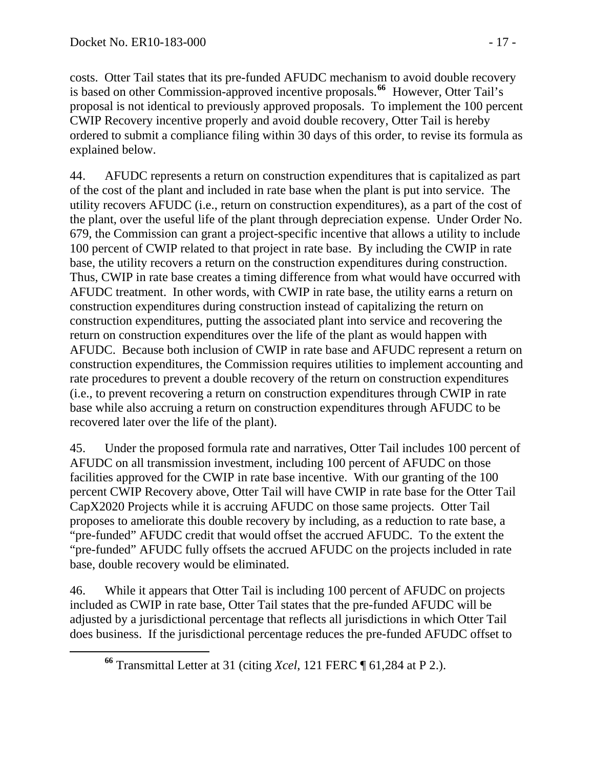costs. Otter Tail states that its pre-funded AFUDC mechanism to avoid double recovery is based on other Commission-approved incentive proposals.**<sup>66</sup>** However, Otter Tail's proposal is not identical to previously approved proposals. To implement the 100 percent CWIP Recovery incentive properly and avoid double recovery, Otter Tail is hereby ordered to submit a compliance filing within 30 days of this order, to revise its formula as explained below.

44. AFUDC represents a return on construction expenditures that is capitalized as part of the cost of the plant and included in rate base when the plant is put into service. The utility recovers AFUDC (i.e., return on construction expenditures), as a part of the cost of the plant, over the useful life of the plant through depreciation expense. Under Order No. 679, the Commission can grant a project-specific incentive that allows a utility to include 100 percent of CWIP related to that project in rate base. By including the CWIP in rate base, the utility recovers a return on the construction expenditures during construction. Thus, CWIP in rate base creates a timing difference from what would have occurred with AFUDC treatment. In other words, with CWIP in rate base, the utility earns a return on construction expenditures during construction instead of capitalizing the return on construction expenditures, putting the associated plant into service and recovering the return on construction expenditures over the life of the plant as would happen with AFUDC. Because both inclusion of CWIP in rate base and AFUDC represent a return on construction expenditures, the Commission requires utilities to implement accounting and rate procedures to prevent a double recovery of the return on construction expenditures (i.e., to prevent recovering a return on construction expenditures through CWIP in rate base while also accruing a return on construction expenditures through AFUDC to be recovered later over the life of the plant).

45. Under the proposed formula rate and narratives, Otter Tail includes 100 percent of AFUDC on all transmission investment, including 100 percent of AFUDC on those facilities approved for the CWIP in rate base incentive. With our granting of the 100 percent CWIP Recovery above, Otter Tail will have CWIP in rate base for the Otter Tail CapX2020 Projects while it is accruing AFUDC on those same projects. Otter Tail proposes to ameliorate this double recovery by including, as a reduction to rate base, a "pre-funded" AFUDC credit that would offset the accrued AFUDC. To the extent the "pre-funded" AFUDC fully offsets the accrued AFUDC on the projects included in rate base, double recovery would be eliminated.

46. While it appears that Otter Tail is including 100 percent of AFUDC on projects included as CWIP in rate base, Otter Tail states that the pre-funded AFUDC will be adjusted by a jurisdictional percentage that reflects all jurisdictions in which Otter Tail does business. If the jurisdictional percentage reduces the pre-funded AFUDC offset to

**<sup>66</sup>** Transmittal Letter at 31 (citing *Xcel*, 121 FERC ¶ 61,284 at P 2.).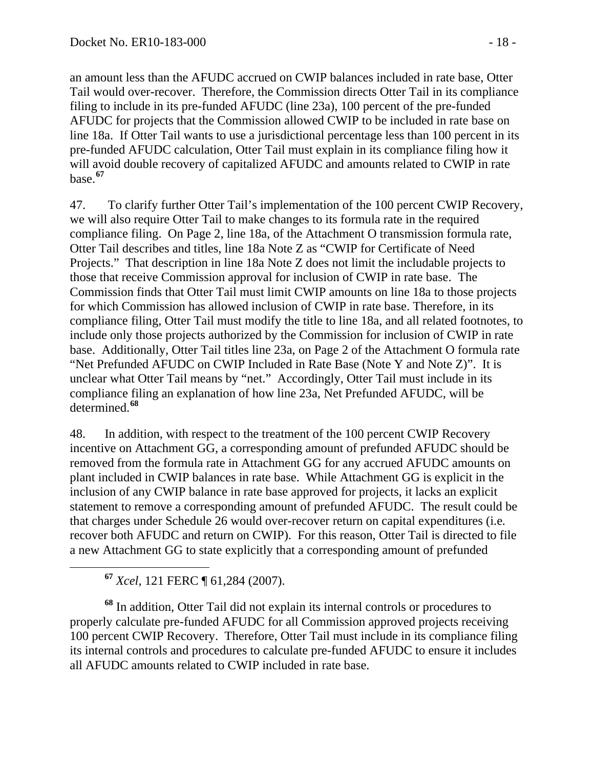an amount less than the AFUDC accrued on CWIP balances included in rate base, Otter Tail would over-recover. Therefore, the Commission directs Otter Tail in its compliance filing to include in its pre-funded AFUDC (line 23a), 100 percent of the pre-funded AFUDC for projects that the Commission allowed CWIP to be included in rate base on line 18a. If Otter Tail wants to use a jurisdictional percentage less than 100 percent in its pre-funded AFUDC calculation, Otter Tail must explain in its compliance filing how it will avoid double recovery of capitalized AFUDC and amounts related to CWIP in rate base.**<sup>67</sup>**

47. To clarify further Otter Tail's implementation of the 100 percent CWIP Recovery, we will also require Otter Tail to make changes to its formula rate in the required compliance filing. On Page 2, line 18a, of the Attachment O transmission formula rate, Otter Tail describes and titles, line 18a Note Z as "CWIP for Certificate of Need Projects." That description in line 18a Note Z does not limit the includable projects to those that receive Commission approval for inclusion of CWIP in rate base. The Commission finds that Otter Tail must limit CWIP amounts on line 18a to those projects for which Commission has allowed inclusion of CWIP in rate base. Therefore, in its compliance filing, Otter Tail must modify the title to line 18a, and all related footnotes, to include only those projects authorized by the Commission for inclusion of CWIP in rate base. Additionally, Otter Tail titles line 23a, on Page 2 of the Attachment O formula rate "Net Prefunded AFUDC on CWIP Included in Rate Base (Note Y and Note Z)". It is unclear what Otter Tail means by "net." Accordingly, Otter Tail must include in its compliance filing an explanation of how line 23a, Net Prefunded AFUDC, will be determined.**[68](#page-17-0)**

48. In addition, with respect to the treatment of the 100 percent CWIP Recovery incentive on Attachment GG, a corresponding amount of prefunded AFUDC should be removed from the formula rate in Attachment GG for any accrued AFUDC amounts on plant included in CWIP balances in rate base. While Attachment GG is explicit in the inclusion of any CWIP balance in rate base approved for projects, it lacks an explicit statement to remove a corresponding amount of prefunded AFUDC. The result could be that charges under Schedule 26 would over-recover return on capital expenditures (i.e*.* recover both AFUDC and return on CWIP). For this reason, Otter Tail is directed to file a new Attachment GG to state explicitly that a corresponding amount of prefunded

**<sup>67</sup>** *Xcel,* 121 FERC ¶ 61,284 (2007).

<span id="page-17-0"></span>**<sup>68</sup>** In addition, Otter Tail did not explain its internal controls or procedures to properly calculate pre-funded AFUDC for all Commission approved projects receiving 100 percent CWIP Recovery. Therefore, Otter Tail must include in its compliance filing its internal controls and procedures to calculate pre-funded AFUDC to ensure it includes all AFUDC amounts related to CWIP included in rate base.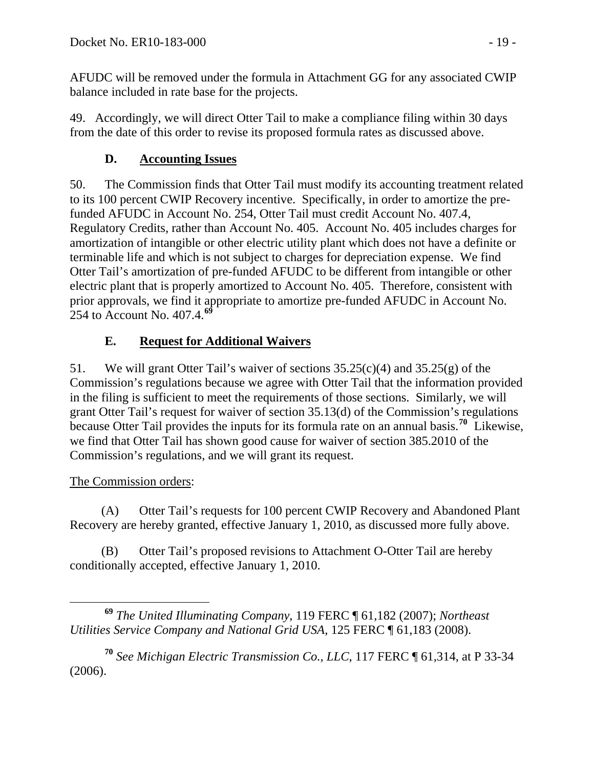AFUDC will be removed under the formula in Attachment GG for any associated CWIP balance included in rate base for the projects.

49. Accordingly, we will direct Otter Tail to make a compliance filing within 30 days from the date of this order to revise its proposed formula rates as discussed above.

# **D. Accounting Issues**

50. The Commission finds that Otter Tail must modify its accounting treatment related to its 100 percent CWIP Recovery incentive. Specifically, in order to amortize the prefunded AFUDC in Account No. 254, Otter Tail must credit Account No. 407.4, Regulatory Credits, rather than Account No. 405. Account No. 405 includes charges for amortization of intangible or other electric utility plant which does not have a definite or terminable life and which is not subject to charges for depreciation expense. We find Otter Tail's amortization of pre-funded AFUDC to be different from intangible or other electric plant that is properly amortized to Account No. 405. Therefore, consistent with prior approvals, we find it appropriate to amortize pre-funded AFUDC in Account No. 254 to Account No. 407.4.**[69](#page-18-0)**

# **E. Request for Additional Waivers**

51. We will grant Otter Tail's waiver of sections 35.25(c)(4) and 35.25(g) of the Commission's regulations because we agree with Otter Tail that the information provided in the filing is sufficient to meet the requirements of those sections. Similarly, we will grant Otter Tail's request for waiver of section 35.13(d) of the Commission's regulations because Otter Tail provides the inputs for its formula rate on an annual basis.**[70](#page-18-1)** Likewise, we find that Otter Tail has shown good cause for waiver of section 385.2010 of the Commission's regulations, and we will grant its request.

## The Commission orders:

(A) Otter Tail's requests for 100 percent CWIP Recovery and Abandoned Plant Recovery are hereby granted, effective January 1, 2010, as discussed more fully above.

(B) Otter Tail's proposed revisions to Attachment O-Otter Tail are hereby conditionally accepted, effective January 1, 2010.

<span id="page-18-1"></span>**<sup>70</sup>** *See Michigan Electric Transmission Co., LLC*, 117 FERC ¶ 61,314, at P 33-34 (2006).

<span id="page-18-0"></span>**<sup>69</sup>** *The United Illuminating Company*, 119 FERC ¶ 61,182 (2007); *Northeast Utilities Service Company and National Grid USA*, 125 FERC ¶ 61,183 (2008).